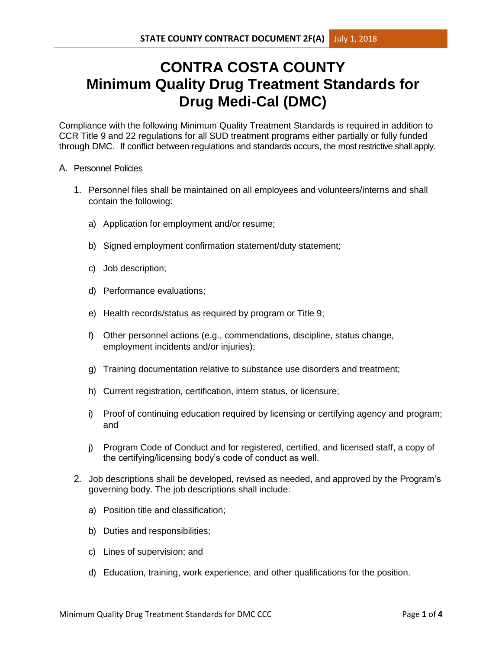## **CONTRA COSTA COUNTY Minimum Quality Drug Treatment Standards for Drug Medi-Cal (DMC)**

Compliance with the following Minimum Quality Treatment Standards is required in addition to CCR Title 9 and 22 regulations for all SUD treatment programs either partially or fully funded through DMC. If conflict between regulations and standards occurs, the most restrictive shall apply.

## A. Personnel Policies

- 1. Personnel files shall be maintained on all employees and volunteers/interns and shall contain the following:
	- a) Application for employment and/or resume;
	- b) Signed employment confirmation statement/duty statement;
	- c) Job description;
	- d) Performance evaluations;
	- e) Health records/status as required by program or Title 9;
	- f) Other personnel actions (e.g., commendations, discipline, status change, employment incidents and/or injuries);
	- g) Training documentation relative to substance use disorders and treatment;
	- h) Current registration, certification, intern status, or licensure;
	- i) Proof of continuing education required by licensing or certifying agency and program; and
	- j) Program Code of Conduct and for registered, certified, and licensed staff, a copy of the certifying/licensing body's code of conduct as well.
- 2. Job descriptions shall be developed, revised as needed, and approved by the Program's governing body. The job descriptions shall include:
	- a) Position title and classification;
	- b) Duties and responsibilities;
	- c) Lines of supervision; and
	- d) Education, training, work experience, and other qualifications for the position.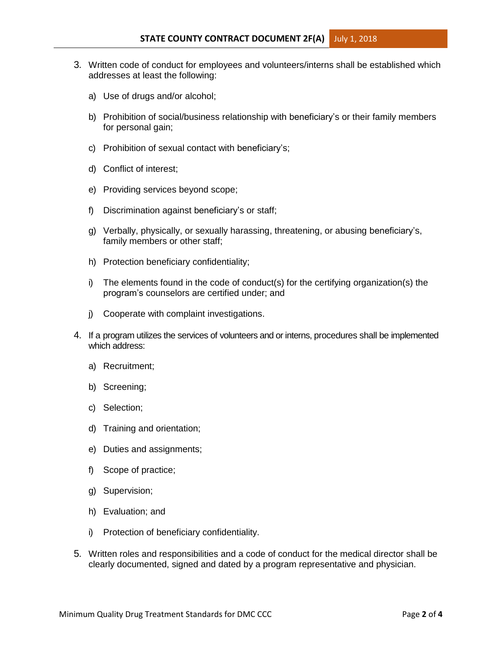- 3. Written code of conduct for employees and volunteers/interns shall be established which addresses at least the following:
	- a) Use of drugs and/or alcohol;
	- b) Prohibition of social/business relationship with beneficiary's or their family members for personal gain;
	- c) Prohibition of sexual contact with beneficiary's;
	- d) Conflict of interest;
	- e) Providing services beyond scope;
	- f) Discrimination against beneficiary's or staff;
	- g) Verbally, physically, or sexually harassing, threatening, or abusing beneficiary's, family members or other staff;
	- h) Protection beneficiary confidentiality;
	- i) The elements found in the code of conduct(s) for the certifying organization(s) the program's counselors are certified under; and
	- j) Cooperate with complaint investigations.
- 4. If a program utilizes the services of volunteers and or interns, procedures shall be implemented which address:
	- a) Recruitment;
	- b) Screening;
	- c) Selection;
	- d) Training and orientation;
	- e) Duties and assignments;
	- f) Scope of practice;
	- g) Supervision;
	- h) Evaluation; and
	- i) Protection of beneficiary confidentiality.
- 5. Written roles and responsibilities and a code of conduct for the medical director shall be clearly documented, signed and dated by a program representative and physician.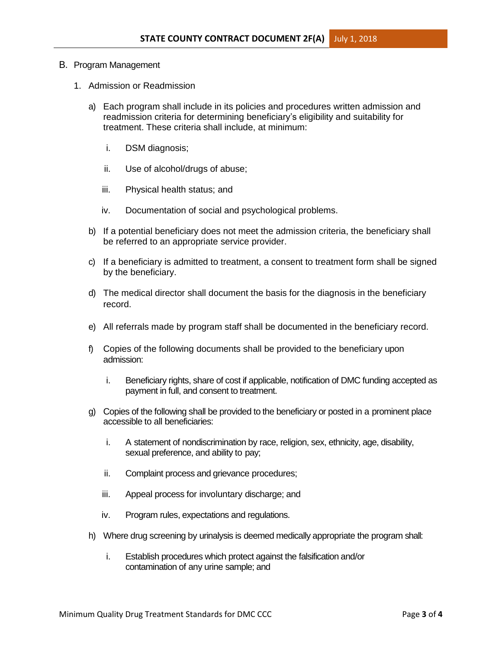## B. Program Management

- 1. Admission or Readmission
	- a) Each program shall include in its policies and procedures written admission and readmission criteria for determining beneficiary's eligibility and suitability for treatment. These criteria shall include, at minimum:
		- i. DSM diagnosis;
		- ii. Use of alcohol/drugs of abuse;
		- iii. Physical health status; and
		- iv. Documentation of social and psychological problems.
	- b) If a potential beneficiary does not meet the admission criteria, the beneficiary shall be referred to an appropriate service provider.
	- c) If a beneficiary is admitted to treatment, a consent to treatment form shall be signed by the beneficiary.
	- d) The medical director shall document the basis for the diagnosis in the beneficiary record.
	- e) All referrals made by program staff shall be documented in the beneficiary record.
	- f) Copies of the following documents shall be provided to the beneficiary upon admission:
		- i. Beneficiary rights, share of cost if applicable, notification of DMC funding accepted as payment in full, and consent to treatment.
	- g) Copies of the following shall be provided to the beneficiary or posted in a prominent place accessible to all beneficiaries:
		- i. A statement of nondiscrimination by race, religion, sex, ethnicity, age, disability, sexual preference, and ability to pay;
		- ii. Complaint process and grievance procedures;
		- iii. Appeal process for involuntary discharge; and
		- iv. Program rules, expectations and regulations.
	- h) Where drug screening by urinalysis is deemed medically appropriate the program shall:
		- i. Establish procedures which protect against the falsification and/or contamination of any urine sample; and